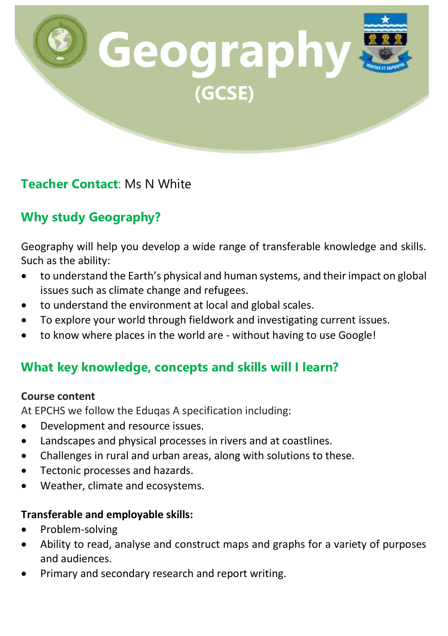

# **Teacher Contact**: Ms N White

# **Why study Geography?**

Geography will help you develop a wide range of transferable knowledge and skills. Such as the ability:

- to understand the Earth's physical and human systems, and their impact on global issues such as climate change and refugees.
- to understand the environment at local and global scales.
- To explore your world through fieldwork and investigating current issues.
- to know where places in the world are without having to use Google!

# **What key knowledge, concepts and skills will I learn?**

#### **Course content**

At EPCHS we follow the Eduqas A specification including:

- Development and resource issues.
- Landscapes and physical processes in rivers and at coastlines.
- Challenges in rural and urban areas, along with solutions to these.
- Tectonic processes and hazards.
- Weather, climate and ecosystems.

### **Transferable and employable skills:**

- Problem-solving
- Ability to read, analyse and construct maps and graphs for a variety of purposes and audiences.
- Primary and secondary research and report writing.